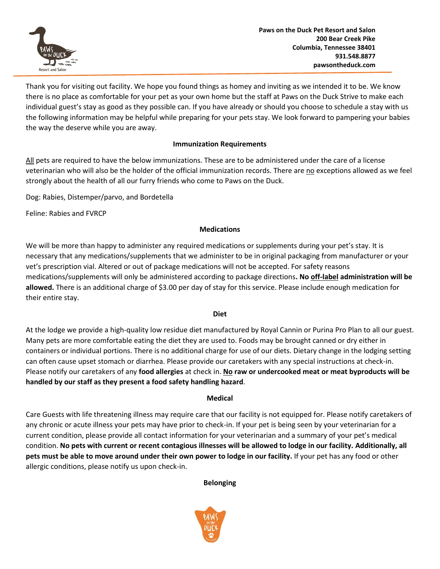

Thank you for visiting out facility. We hope you found things as homey and inviting as we intended it to be. We know there is no place as comfortable for your pet as your own home but the staff at Paws on the Duck Strive to make each individual guest's stay as good as they possible can. If you have already or should you choose to schedule a stay with us the following information may be helpful while preparing for your pets stay. We look forward to pampering your babies the way the deserve while you are away.

# **Immunization Requirements**

All pets are required to have the below immunizations. These are to be administered under the care of a license veterinarian who will also be the holder of the official immunization records. There are no exceptions allowed as we feel strongly about the health of all our furry friends who come to Paws on the Duck.

Dog: Rabies, Distemper/parvo, and Bordetella

Feline: Rabies and FVRCP

### **Medications**

We will be more than happy to administer any required medications or supplements during your pet's stay. It is necessary that any medications/supplements that we administer to be in original packaging from manufacturer or your vet's prescription vial. Altered or out of package medications will not be accepted. For safety reasons medications/supplements will only be administered according to package directions**. No off-label administration will be allowed.** There is an additional charge of \$3.00 per day of stay for this service. Please include enough medication for their entire stay.

#### **Diet**

At the lodge we provide a high-quality low residue diet manufactured by Royal Cannin or Purina Pro Plan to all our guest. Many pets are more comfortable eating the diet they are used to. Foods may be brought canned or dry either in containers or individual portions. There is no additional charge for use of our diets. Dietary change in the lodging setting can often cause upset stomach or diarrhea. Please provide our caretakers with any special instructions at check-in. Please notify our caretakers of any **food allergies** at check in. **No raw or undercooked meat or meat byproducts will be handled by our staff as they present a food safety handling hazard**.

#### **Medical**

Care Guests with life threatening illness may require care that our facility is not equipped for. Please notify caretakers of any chronic or acute illness your pets may have prior to check-in. If your pet is being seen by your veterinarian for a current condition, please provide all contact information for your veterinarian and a summary of your pet's medical condition. **No pets with current or recent contagious illnesses will be allowed to lodge in our facility. Additionally, all pets must be able to move around under their own power to lodge in our facility.** If your pet has any food or other allergic conditions, please notify us upon check-in.

**Belonging**